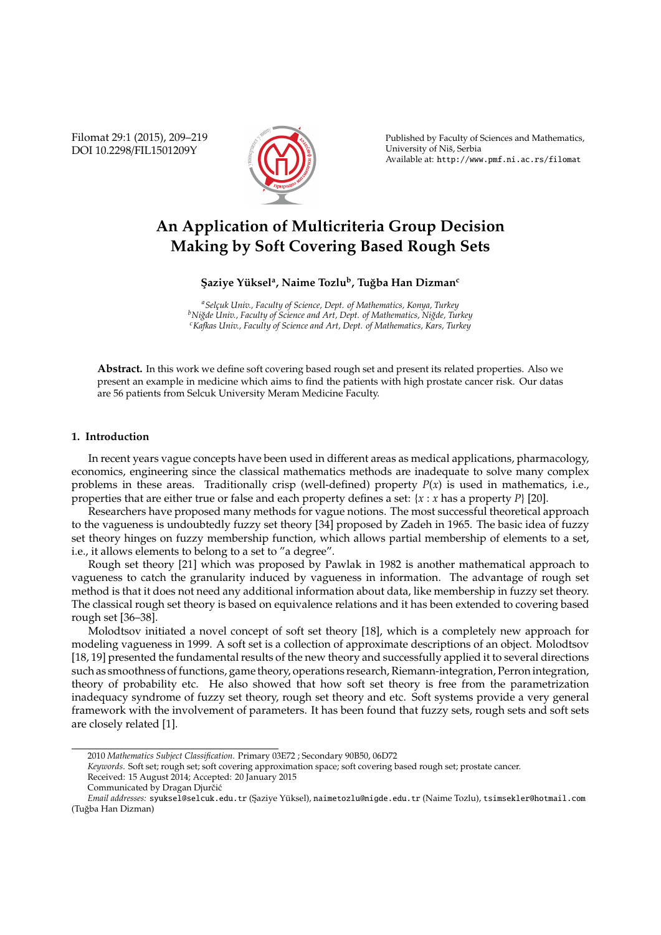Filomat 29:1 (2015), 209–219 DOI 10.2298/FIL1501209Y



Published by Faculty of Sciences and Mathematics, University of Niš, Serbia Available at: http://www.pmf.ni.ac.rs/filomat

# **An Application of Multicriteria Group Decision Making by Soft Covering Based Rough Sets**

## **S¸ aziye Y ¨uksel<sup>a</sup> , Naime Tozlu<sup>b</sup> , Tu ˘gba Han Dizman<sup>c</sup>**

*<sup>a</sup>Selc¸uk Univ., Faculty of Science, Dept. of Mathematics, Konya, Turkey <sup>b</sup>Ni˘gde Univ., Faculty of Science and Art, Dept. of Mathematics, Ni˘gde, Turkey <sup>c</sup>Kafkas Univ., Faculty of Science and Art, Dept. of Mathematics, Kars, Turkey*

**Abstract.** In this work we define soft covering based rough set and present its related properties. Also we present an example in medicine which aims to find the patients with high prostate cancer risk. Our datas are 56 patients from Selcuk University Meram Medicine Faculty.

## **1. Introduction**

In recent years vague concepts have been used in different areas as medical applications, pharmacology, economics, engineering since the classical mathematics methods are inadequate to solve many complex problems in these areas. Traditionally crisp (well-defined) property  $P(x)$  is used in mathematics, i.e., properties that are either true or false and each property defines a set: {*x* : *x* has a property *P*} [20].

Researchers have proposed many methods for vague notions. The most successful theoretical approach to the vagueness is undoubtedly fuzzy set theory [34] proposed by Zadeh in 1965. The basic idea of fuzzy set theory hinges on fuzzy membership function, which allows partial membership of elements to a set, i.e., it allows elements to belong to a set to "a degree".

Rough set theory [21] which was proposed by Pawlak in 1982 is another mathematical approach to vagueness to catch the granularity induced by vagueness in information. The advantage of rough set method is that it does not need any additional information about data, like membership in fuzzy set theory. The classical rough set theory is based on equivalence relations and it has been extended to covering based rough set [36–38].

Molodtsov initiated a novel concept of soft set theory [18], which is a completely new approach for modeling vagueness in 1999. A soft set is a collection of approximate descriptions of an object. Molodtsov [18, 19] presented the fundamental results of the new theory and successfully applied it to several directions such as smoothness of functions, game theory, operations research, Riemann-integration, Perron integration, theory of probability etc. He also showed that how soft set theory is free from the parametrization inadequacy syndrome of fuzzy set theory, rough set theory and etc. Soft systems provide a very general framework with the involvement of parameters. It has been found that fuzzy sets, rough sets and soft sets are closely related [1].

<sup>2010</sup> *Mathematics Subject Classification*. Primary 03E72 ; Secondary 90B50, 06D72

*Keywords*. Soft set; rough set; soft covering approximation space; soft covering based rough set; prostate cancer.

Received: 15 August 2014; Accepted: 20 January 2015

Communicated by Dragan Djurčić

*Email addresses:* syuksel@selcuk.edu.tr (Saziye Yüksel), naimetozlu@nigde.edu.tr (Naime Tozlu), tsimsekler@hotmail.com (Tugba Han Dizman) ˘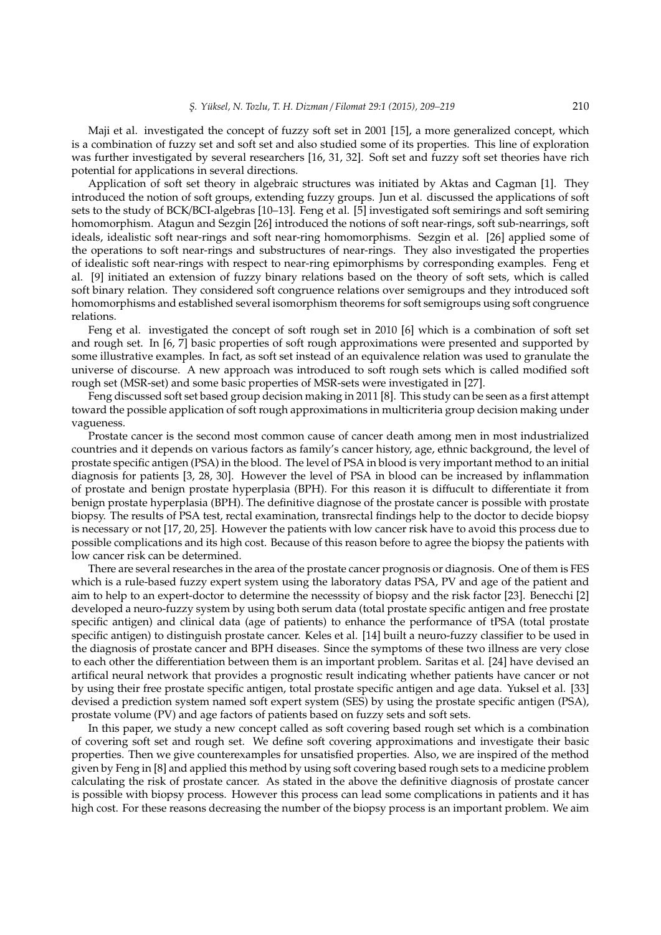Maji et al. investigated the concept of fuzzy soft set in 2001 [15], a more generalized concept, which is a combination of fuzzy set and soft set and also studied some of its properties. This line of exploration was further investigated by several researchers [16, 31, 32]. Soft set and fuzzy soft set theories have rich potential for applications in several directions.

Application of soft set theory in algebraic structures was initiated by Aktas and Cagman [1]. They introduced the notion of soft groups, extending fuzzy groups. Jun et al. discussed the applications of soft sets to the study of BCK/BCI-algebras [10–13]. Feng et al. [5] investigated soft semirings and soft semiring homomorphism. Atagun and Sezgin [26] introduced the notions of soft near-rings, soft sub-nearrings, soft ideals, idealistic soft near-rings and soft near-ring homomorphisms. Sezgin et al. [26] applied some of the operations to soft near-rings and substructures of near-rings. They also investigated the properties of idealistic soft near-rings with respect to near-ring epimorphisms by corresponding examples. Feng et al. [9] initiated an extension of fuzzy binary relations based on the theory of soft sets, which is called soft binary relation. They considered soft congruence relations over semigroups and they introduced soft homomorphisms and established several isomorphism theorems for soft semigroups using soft congruence relations.

Feng et al. investigated the concept of soft rough set in 2010 [6] which is a combination of soft set and rough set. In [6, 7] basic properties of soft rough approximations were presented and supported by some illustrative examples. In fact, as soft set instead of an equivalence relation was used to granulate the universe of discourse. A new approach was introduced to soft rough sets which is called modified soft rough set (MSR-set) and some basic properties of MSR-sets were investigated in [27].

Feng discussed soft set based group decision making in 2011 [8]. This study can be seen as a first attempt toward the possible application of soft rough approximations in multicriteria group decision making under vagueness.

Prostate cancer is the second most common cause of cancer death among men in most industrialized countries and it depends on various factors as family's cancer history, age, ethnic background, the level of prostate specific antigen (PSA) in the blood. The level of PSA in blood is very important method to an initial diagnosis for patients [3, 28, 30]. However the level of PSA in blood can be increased by inflammation of prostate and benign prostate hyperplasia (BPH). For this reason it is diffucult to differentiate it from benign prostate hyperplasia (BPH). The definitive diagnose of the prostate cancer is possible with prostate biopsy. The results of PSA test, rectal examination, transrectal findings help to the doctor to decide biopsy is necessary or not [17, 20, 25]. However the patients with low cancer risk have to avoid this process due to possible complications and its high cost. Because of this reason before to agree the biopsy the patients with low cancer risk can be determined.

There are several researches in the area of the prostate cancer prognosis or diagnosis. One of them is FES which is a rule-based fuzzy expert system using the laboratory datas PSA, PV and age of the patient and aim to help to an expert-doctor to determine the necesssity of biopsy and the risk factor [23]. Benecchi [2] developed a neuro-fuzzy system by using both serum data (total prostate specific antigen and free prostate specific antigen) and clinical data (age of patients) to enhance the performance of tPSA (total prostate specific antigen) to distinguish prostate cancer. Keles et al. [14] built a neuro-fuzzy classifier to be used in the diagnosis of prostate cancer and BPH diseases. Since the symptoms of these two illness are very close to each other the differentiation between them is an important problem. Saritas et al. [24] have devised an artifical neural network that provides a prognostic result indicating whether patients have cancer or not by using their free prostate specific antigen, total prostate specific antigen and age data. Yuksel et al. [33] devised a prediction system named soft expert system (SES) by using the prostate specific antigen (PSA), prostate volume (PV) and age factors of patients based on fuzzy sets and soft sets.

In this paper, we study a new concept called as soft covering based rough set which is a combination of covering soft set and rough set. We define soft covering approximations and investigate their basic properties. Then we give counterexamples for unsatisfied properties. Also, we are inspired of the method given by Feng in [8] and applied this method by using soft covering based rough sets to a medicine problem calculating the risk of prostate cancer. As stated in the above the definitive diagnosis of prostate cancer is possible with biopsy process. However this process can lead some complications in patients and it has high cost. For these reasons decreasing the number of the biopsy process is an important problem. We aim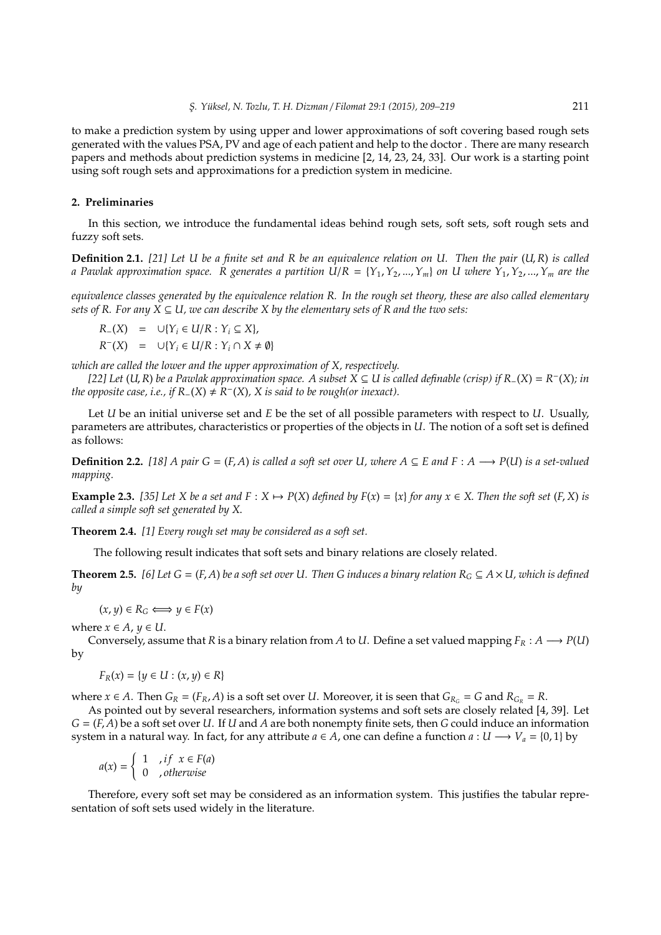to make a prediction system by using upper and lower approximations of soft covering based rough sets generated with the values PSA, PV and age of each patient and help to the doctor . There are many research papers and methods about prediction systems in medicine [2, 14, 23, 24, 33]. Our work is a starting point using soft rough sets and approximations for a prediction system in medicine.

## **2. Preliminaries**

In this section, we introduce the fundamental ideas behind rough sets, soft sets, soft rough sets and fuzzy soft sets.

**Definition 2.1.** *[21] Let U be a finite set and R be an equivalence relation on U. Then the pair* (*U*,*R*) *is called a Pawlak approximation space.* R generates a partition  $U/R = \{Y_1, Y_2, ..., Y_m\}$  on U where  $Y_1, Y_2, ..., Y_m$  are the

*equivalence classes generated by the equivalence relation R. In the rough set theory, these are also called elementary sets of R. For any X*  $\subseteq$  *U, we can describe X by the elementary sets of R and the two sets:* 

$$
R_{-}(X) = \cup \{ Y_i \in U/R : Y_i \subseteq X \},
$$

 $R^{-}(X) = \cup \{Y_i \in U/R : Y_i \cap X \neq \emptyset\}$ 

*which are called the lower and the upper approximation of X, respectively.*

*[22] Let* (*U*,*R*) *be a Pawlak approximation space. A subset X* ⊆ *U is called definable (crisp) if R*−(*X*) = *R* − (*X*)*; in the opposite case, i.e., if*  $R_-(X) \neq R^-(X)$ , *X* is said to be rough(or inexact).

Let *U* be an initial universe set and *E* be the set of all possible parameters with respect to *U*. Usually, parameters are attributes, characteristics or properties of the objects in *U*. The notion of a soft set is defined as follows:

**Definition 2.2.** [18] A pair  $G = (F, A)$  is called a soft set over U, where  $A \subseteq E$  and  $F : A \longrightarrow P(U)$  is a set-valued *mapping.*

**Example 2.3.** [35] Let X be a set and  $F: X \mapsto P(X)$  defined by  $F(x) = \{x\}$  for any  $x \in X$ . Then the soft set  $(F, X)$  is *called a simple soft set generated by X*.

**Theorem 2.4.** *[1] Every rough set may be considered as a soft set.*

The following result indicates that soft sets and binary relations are closely related.

**Theorem 2.5.** [6] Let  $G = (F, A)$  be a soft set over U. Then G induces a binary relation  $R_G \subseteq A \times U$ , which is defined *by*

 $(x, y) \in R_G \Longleftrightarrow y \in F(x)$ 

where  $x \in A$ ,  $y \in U$ .

Conversely, assume that *R* is a binary relation from *A* to *U*. Define a set valued mapping  $F_R : A \longrightarrow P(U)$ by

 $F_R(x) = \{ y \in U : (x, y) \in R \}$ 

where  $x \in A$ . Then  $G_R = (F_R, A)$  is a soft set over *U*. Moreover, it is seen that  $G_{R_G} = G$  and  $R_{G_R} = R$ .

As pointed out by several researchers, information systems and soft sets are closely related [4, 39]. Let *G* = (*F*, *A*) be a soft set over *U*. If *U* and *A* are both nonempty finite sets, then *G* could induce an information system in a natural way. In fact, for any attribute  $a \in A$ , one can define a function  $a: U \longrightarrow V_a = \{0, 1\}$  by

$$
a(x) = \begin{cases} 1 & , if \ x \in F(a) \\ 0 & , otherwise \end{cases}
$$

Therefore, every soft set may be considered as an information system. This justifies the tabular representation of soft sets used widely in the literature.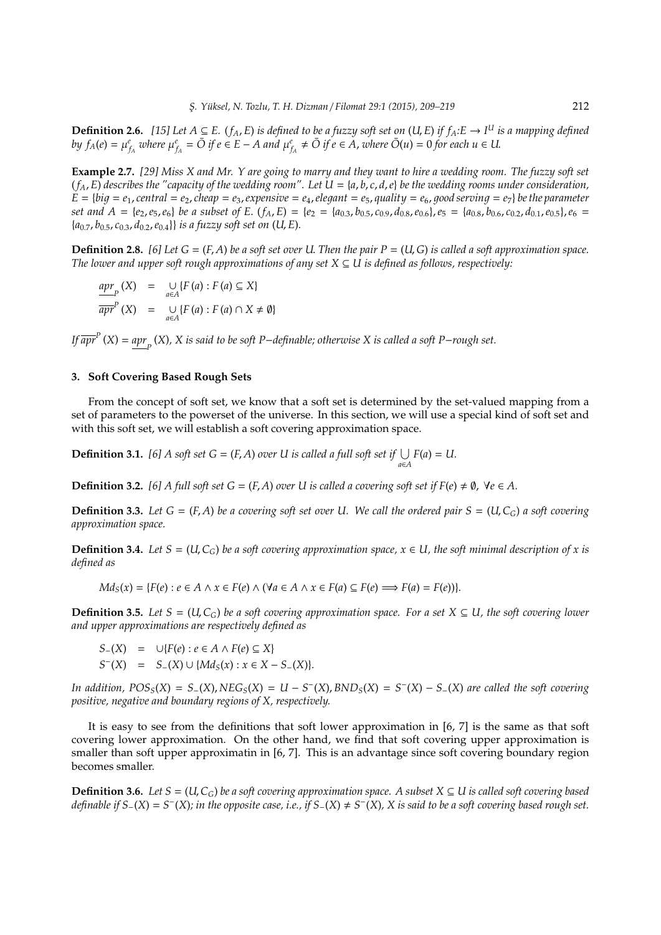**Definition 2.6.** [15] Let  $A ⊆ E$ . ( $f_A$ ,  $E$ ) is defined to be a fuzzy soft set on (U,  $E$ ) if  $f_A$ : $E → I^U$  is a mapping defined by  $f_A(e) = \mu_{f_A}^e$  where  $\mu_{f_A}^e = \overline{O}$  if  $e \in E - A$  and  $\mu_{f_A}^e \neq \overline{O}$  if  $e \in A$ , where  $\overline{O}(u) = 0$  for each  $u \in U$ .

**Example 2.7.** *[29] Miss X and Mr. Y are going to marry and they want to hire a wedding room. The fuzzy soft set*  $(f_A, E)$  describes the "capacity of the wedding room". Let  $U = \{a, b, c, d, e\}$  be the wedding rooms under consideration,  $E = \{big = e_1, central = e_2, cheap = e_3, expensive = e_4, elegant = e_5, quality = e_6, good serving = e_7\}$  be the parameter set and  $A = \{e_2, e_5, e_6\}$  be a subset of E.  $(f_A, E) = \{e_2 = \{a_{0.3}, b_{0.5}, c_{0.9}, d_{0.8}, e_{0.6}\}, e_5 = \{a_{0.8}, b_{0.6}, c_{0.2}, d_{0.1}, e_{0.5}\}, e_6 =$ {*a*0.7, *b*0.5, *c*0.3, *d*0.2,*e*0.4}} *is a fuzzy soft set on* (*U*, *E*)*.*

**Definition 2.8.** [6] Let  $G = (F, A)$  be a soft set over U. Then the pair  $P = (U, G)$  is called a soft approximation space. *The lower and upper soft rough approximations of any set X* ⊆ *U is defined as follows, respectively:*

$$
\frac{apr}{apr} (X) = \bigcup_{a \in A} \{ F(a) : F(a) \subseteq X \}
$$
  

$$
\overline{apr}^P (X) = \bigcup_{a \in A} \{ F(a) : F(a) \cap X \neq \emptyset \}
$$

*If apr P* (*X*) = *apr P* (*X*)*, X is said to be soft P*−*definable; otherwise X is called a soft P*−*rough set.*

## **3. Soft Covering Based Rough Sets**

From the concept of soft set, we know that a soft set is determined by the set-valued mapping from a set of parameters to the powerset of the universe. In this section, we will use a special kind of soft set and with this soft set, we will establish a soft covering approximation space.

**Definition 3.1.** *[6] A* soft set *G* = (*F*, *A*) *over U* is called a full soft set if  $\bigcup_{a \in A} F(a) = U$ .

**Definition 3.2.** [6] A full soft set  $G = (F, A)$  *over U is called a covering soft set if*  $F(e) \neq \emptyset$ ,  $\forall e \in A$ .

**Definition 3.3.** Let  $G = (F, A)$  be a covering soft set over U. We call the ordered pair  $S = (U, C_G)$  a soft covering *approximation space.*

**Definition 3.4.** *Let*  $S = (U, C_G)$  *be a soft covering approximation space,*  $x \in U$ *, the soft minimal description of x is defined as*

$$
Md_S(x) = \{F(e) : e \in A \land x \in F(e) \land (\forall a \in A \land x \in F(a) \subseteq F(e) \Longrightarrow F(a) = F(e)\}.
$$

**Definition 3.5.** *Let*  $S = (U, C_G)$  *be a soft covering approximation space. For a set*  $X \subseteq U$ *, the soft covering lower and upper approximations are respectively defined as*

$$
S_{-}(X) = \cup \{F(e) : e \in A \land F(e) \subseteq X\}
$$
  

$$
S^{-}(X) = S_{-}(X) \cup \{Md_S(x) : x \in X - S_{-}(X)\}.
$$

In addition,  $POS_S(X) = S_{-}(X)$ ,  $NEG_S(X) = U - S^{-}(X)$ ,  $BND_S(X) = S^{-}(X) - S_{-}(X)$  are called the soft covering *positive, negative and boundary regions of X, respectively.*

It is easy to see from the definitions that soft lower approximation in [6, 7] is the same as that soft covering lower approximation. On the other hand, we find that soft covering upper approximation is smaller than soft upper approximatin in [6, 7]. This is an advantage since soft covering boundary region becomes smaller.

**Definition 3.6.** *Let*  $S = (U, C_G)$  *be a soft covering approximation space. A subset*  $X \subseteq U$  *is called soft covering based definable if S*−(*X*) = *S* − (*X*)*; in the opposite case, i.e., if S*−(*X*) , *S* − (*X*)*, X is said to be a soft covering based rough set.*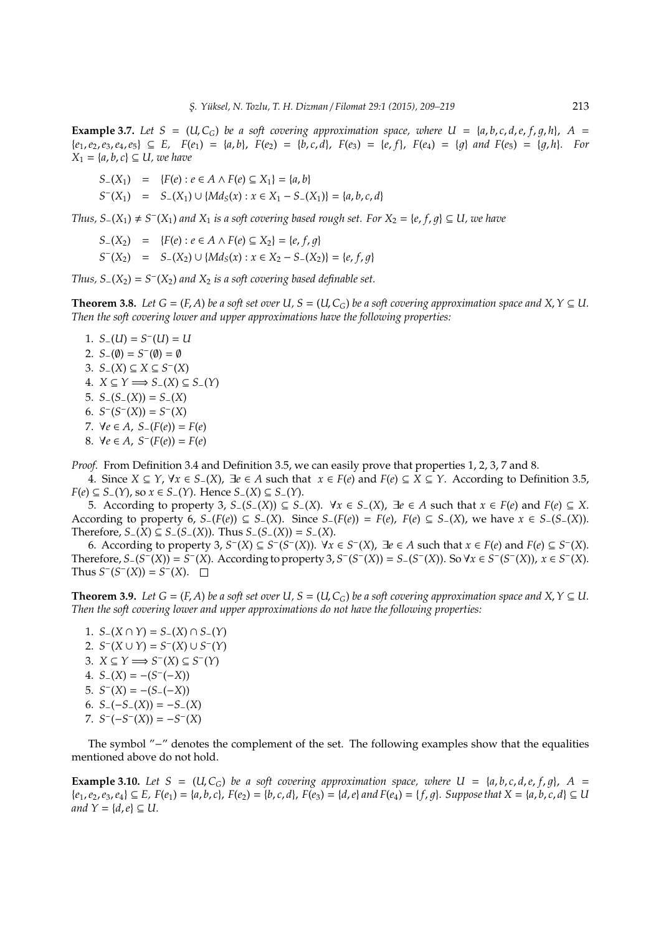**Example 3.7.** Let  $S = (U, C_G)$  be a soft covering approximation space, where  $U = \{a, b, c, d, e, f, q, h\}$ ,  $A =$  $\{e_1, e_2, e_3, e_4, e_5\} \subseteq E$ ,  $F(e_1) = \{a, b\}$ ,  $F(e_2) = \{b, c, d\}$ ,  $F(e_3) = \{e, f\}$ ,  $F(e_4) = \{q\}$  and  $F(e_5) = \{q, h\}$ . For  $X_1 = \{a, b, c\} \subseteq U$ , we have

*S*−(*X*<sub>1</sub>) = {*F*(*e*) : *e* ∈ *A* ∧ *F*(*e*) ⊆ *X*<sub>1</sub>} = {*a*, *b*}

 $S^{-}(X_1) = S_-(X_1) \cup \{Md_S(x) : x \in X_1 - S_-(X_1)\} = \{a, b, c, d\}$ 

*Thus,*  $S_-(X_1) \neq S^-(X_1)$  and  $X_1$  *is a soft covering based rough set. For*  $X_2 = \{e, f, g\} \subseteq U$ *, we have* 

- *S*−(*X*<sub>2</sub>) = {*F*(*e*) : *e* ∈ *A* ∧ *F*(*e*) ⊆ *X*<sub>2</sub>} = {*e*, *f*, *q*}
- $S^{-}(X_2) = S_{-}(X_2) \cup \{Md_S(x) : x \in X_2 S_{-}(X_2)\} = \{e, f, g\}$

*Thus, S*<sub>−</sub>( $X_2$ ) =  $S$ <sup>−</sup>( $X_2$ ) and  $X_2$  *is a soft covering based definable set.* 

**Theorem 3.8.** *Let*  $G = (F, A)$  *be a soft set over*  $U, S = (U, C_G)$  *be a soft covering approximation space and*  $X, Y \subseteq U$ . *Then the soft covering lower and upper approximations have the following properties:*

1.  $S_{-}(U) = S^{-}(U) = U$ 2.  $S_{-}(\emptyset) = S^{-}(\emptyset) = \emptyset$ 3. *S*−(*X*) ⊆ *X* ⊆ *S* − (*X*) 4. *X* ⊆ *Y* =⇒ *S*−(*X*) ⊆ *S*−(*Y*) 5. *S*−(*S*−(*X*)) = *S*−(*X*) 6.  $S^{-}(S^{-}(X)) = S^{-}(X)$ *7*.  $∀e ∈ A, S-(F(e)) = F(e)$ 8.  $∀e ∈ A, S<sup>−</sup>(F(e)) = F(e)$ 

*Proof.* From Definition 3.4 and Definition 3.5, we can easily prove that properties 1, 2, 3, 7 and 8.

4. Since *X* ⊆ *Y*, ∀*x* ∈ *S*−(*X*), ∃*e* ∈ *A* such that *x* ∈ *F*(*e*) and *F*(*e*) ⊆ *X* ⊆ *Y*. According to Definition 3.5, *F*(*e*) ⊆ *S*−(*Y*), so *x* ∈ *S*−(*Y*). Hence *S*−(*X*) ⊆ *S*−(*Y*).

5. According to property 3,  $S_-(S_-(X)) \subseteq S_-(X)$ . ∀ $x \in S_-(X)$ , ∃*e* ∈ *A* such that  $x \in F(e)$  and  $F(e) \subseteq X$ . According to property 6,  $S_{-}(F(e)) \subseteq S_{-}(X)$ . Since  $S_{-}(F(e)) = F(e)$ ,  $F(e) \subseteq S_{-}(X)$ , we have  $x \in S_{-}(S_{-}(X))$ . Therefore,  $S_-(X) \subseteq S_-(S_-(X))$ . Thus  $S_-(S_-(X)) = S_-(X)$ .

6. According to property 3,  $S^{-}(X) \subseteq S^{-}(S^{-}(X))$ .  $\forall x \in S^{-}(X)$ ,  $\exists e \in A$  such that  $x \in F(e)$  and  $F(e) \subseteq S^{-}(X)$ . Therefore,  $S_{-}(S^{-}(X)) = S^{-}(X)$ . According to property 3,  $S^{-}(S^{-}(X)) = S_{-}(S^{-}(X))$ . So  $\forall x \in S^{-}(S^{-}(X))$ ,  $x \in S^{-}(X)$ . Thus  $S^-(S^-(X)) = S^-(X)$ .

**Theorem 3.9.** *Let*  $G = (F, A)$  *be a soft set over U, S* = (*U, C<sub>G</sub>*) *be a soft covering approximation space and X,*  $Y \subseteq U$ *. Then the soft covering lower and upper approximations do not have the following properties:*

1. *S*−(*X* ∩ *Y*) = *S*−(*X*) ∩ *S*−(*Y*) 2.  $S^{-}(X \cup Y) = S^{-}(X) \cup S^{-}(Y)$ 3.  $X \subseteq Y \Longrightarrow S^{-}(X) \subseteq S^{-}(Y)$ 4.  $S_{-}(X) = -(S^{-}(-X))$ 5.  $S^{-}(X) = -(S^{-}(-X))$ 6.  $S_{-}(-S_{-}(X)) = -S_{-}(X)$  $7. S^{-}(-S^{-}(X)) = -S^{-}(X)$ 

The symbol "−" denotes the complement of the set. The following examples show that the equalities mentioned above do not hold.

**Example 3.10.** Let  $S = (U, C_G)$  be a soft covering approximation space, where  $U = \{a, b, c, d, e, f, q\}$ ,  $A =$  ${e_1,e_2,e_3,e_4} \subseteq E$ ,  $F(e_1) = {a,b,c}$ ,  $F(e_2) = {b,c,d}$ ,  $F(e_3) = {d,e}$  and  $F(e_4) = {f,g}$ . Suppose that  $X = {a,b,c,d} \subseteq U$ *and*  $Y = \{d, e\} \subseteq U$ .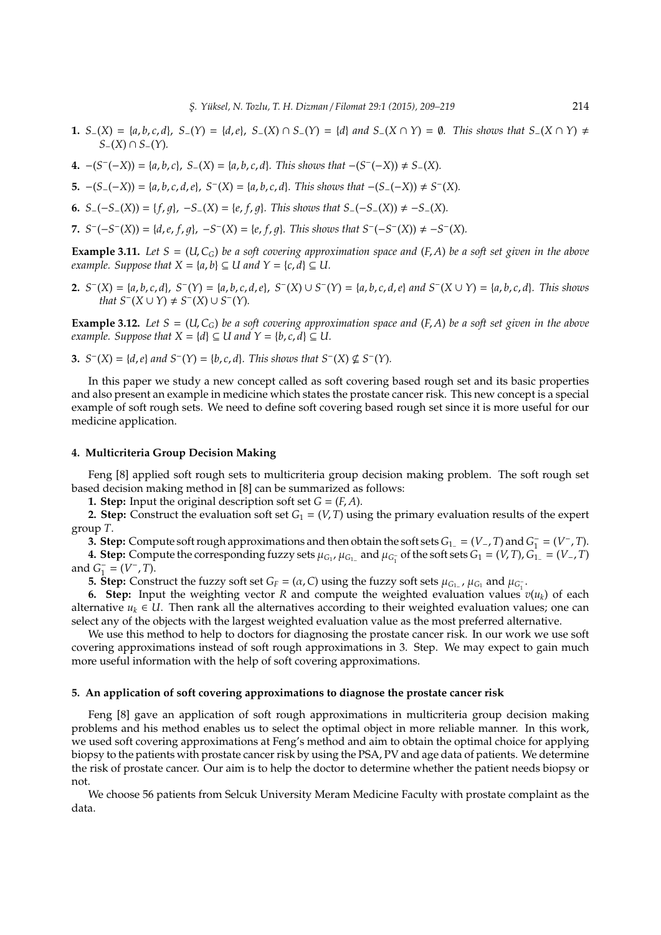- **1.**  $S_{-}(X) = \{a, b, c, d\}, S_{-}(Y) = \{d, e\}, S_{-}(X) \cap S_{-}(Y) = \{d\}$  and  $S_{-}(X \cap Y) = \emptyset$ . This shows that  $S_{-}(X \cap Y) \neq \emptyset$ *S*−(*X*) ∩ *S*−(*Y*)*.*
- **4.** −(*S*<sup>−</sup>(−*X*)) = { $a, b, c$ }, *S*<sub>−</sub>(*X*) = { $a, b, c, d$ }. This shows that −(*S*<sup>−</sup>(−*X*)) ≠ *S*<sub>−</sub>(*X*).
- 5.  $-(S_{-}(-X)) = \{a, b, c, d, e\}, S^{-}(X) = \{a, b, c, d\}.$  This shows that  $-(S_{-}(-X)) \neq S^{-}(X)$ .
- **6.**  $S_-(-S_-(X)) = \{f, g\}, -S_-(X) = \{e, f, g\}.$  This shows that  $S_-(-S_-(X)) \neq -S_-(X).$
- **7.**  $S^{-}(-S^{-}(X)) = \{d, e, f, g\}, -S^{-}(X) = \{e, f, g\}.$  This shows that  $S^{-}(-S^{-}(X)) \neq -S^{-}(X).$

**Example 3.11.** Let  $S = (U, C_G)$  be a soft covering approximation space and  $(F, A)$  be a soft set given in the above *example. Suppose that*  $X = \{a, b\} \subseteq U$  *and*  $Y = \{c, d\} \subseteq U$ .

**2.**  $S^{-}(X) = \{a, b, c, d\}, S^{-}(Y) = \{a, b, c, d, e\}, S^{-}(X) \cup S^{-}(Y) = \{a, b, c, d, e\}$  and  $S^{-}(X \cup Y) = \{a, b, c, d\}.$  This shows *that*  $S^{-}(X \cup Y) \neq S^{-}(X) \cup S^{-}(Y)$ *.* 

**Example 3.12.** Let  $S = (U, C_G)$  be a soft covering approximation space and  $(F, A)$  be a soft set given in the above *example. Suppose that*  $X = \{d\} \subseteq U$  *and*  $Y = \{b, c, d\} \subseteq U$ .

**3.**  $S^{-}(X) = \{d, e\}$  and  $S^{-}(Y) = \{b, c, d\}$ . This shows that  $S^{-}(X) \nsubseteq S^{-}(Y)$ .

In this paper we study a new concept called as soft covering based rough set and its basic properties and also present an example in medicine which states the prostate cancer risk. This new concept is a special example of soft rough sets. We need to define soft covering based rough set since it is more useful for our medicine application.

#### **4. Multicriteria Group Decision Making**

Feng [8] applied soft rough sets to multicriteria group decision making problem. The soft rough set based decision making method in [8] can be summarized as follows:

**1. Step:** Input the original description soft set  $G = (F, A)$ .

**2. Step:** Construct the evaluation soft set  $G_1 = (V, T)$  using the primary evaluation results of the expert group *T*.

**3. Step:** Compute soft rough approximations and then obtain the soft sets *G*1<sup>−</sup> = (*V*−, *T*) and *G* −  $I_1^- = (V^-, T)$ .

**4. Step:** Compute the corresponding fuzzy sets  $\mu_{G_1}$ ,  $\mu_{G_1}$  and  $\mu_{G_1}$  of the soft sets  $G_1 = (V, T)$ ,  $G_1 = (V_-, T)$ and *G* −  $\frac{1}{1} = (V^-, T).$ 

**5. Step:** Construct the fuzzy soft set *G<sub>F</sub>* = ( $\alpha$ , *C*) using the fuzzy soft sets  $\mu_{G_1}$ ,  $\mu_{G_1}$  and  $\mu_{G_1}$ .

**6. Step:** Input the weighting vector *R* and compute the weighted evaluation values  $v(u_k)$  of each alternative  $u_k \in U$ . Then rank all the alternatives according to their weighted evaluation values; one can select any of the objects with the largest weighted evaluation value as the most preferred alternative.

We use this method to help to doctors for diagnosing the prostate cancer risk. In our work we use soft covering approximations instead of soft rough approximations in 3. Step. We may expect to gain much more useful information with the help of soft covering approximations.

#### **5. An application of soft covering approximations to diagnose the prostate cancer risk**

Feng [8] gave an application of soft rough approximations in multicriteria group decision making problems and his method enables us to select the optimal object in more reliable manner. In this work, we used soft covering approximations at Feng's method and aim to obtain the optimal choice for applying biopsy to the patients with prostate cancer risk by using the PSA, PV and age data of patients. We determine the risk of prostate cancer. Our aim is to help the doctor to determine whether the patient needs biopsy or not.

We choose 56 patients from Selcuk University Meram Medicine Faculty with prostate complaint as the data.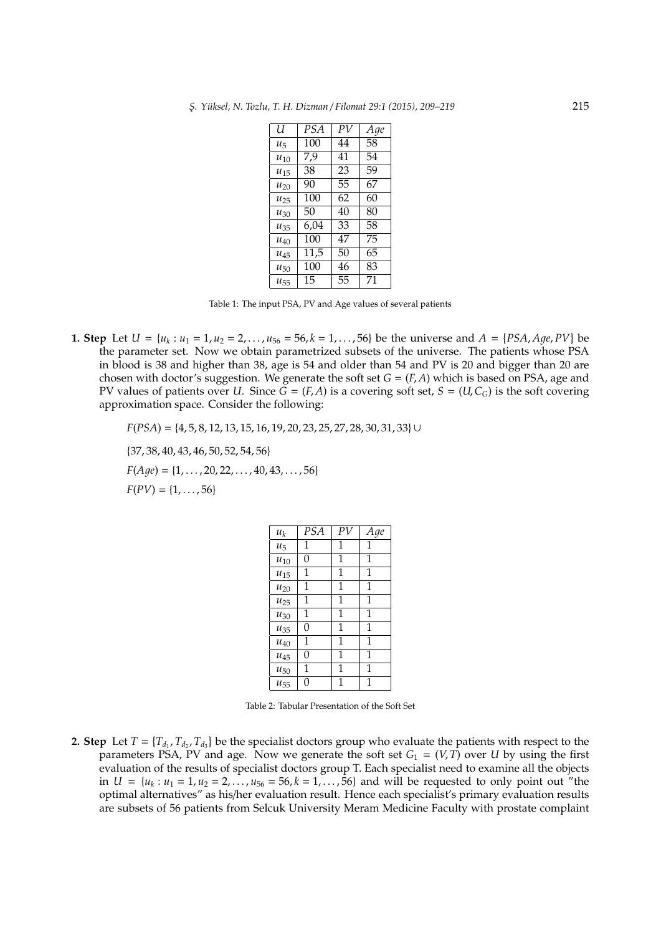| U        | <b>PSA</b> | PV | Age |
|----------|------------|----|-----|
| $u_{5}$  | 100        | 44 | 58  |
| $u_{10}$ | 7.9        | 41 | 54  |
| $u_{15}$ | 38         | 23 | 59  |
| $u_{20}$ | 90         | 55 | 67  |
| $u_{25}$ | 100        | 62 | 60  |
| $u_{30}$ | 50         | 40 | 80  |
| $u_{35}$ | 6,04       | 33 | 58  |
| $u_{40}$ | 100        | 47 | 75  |
| $u_{45}$ | 11,5       | 50 | 65  |
| $u_{50}$ | 100        | 46 | 83  |
| $u_{55}$ | 15         | 55 | 71  |

Table 1: The input PSA, PV and Age values of several patients

**1. Step** Let  $U = \{u_k : u_1 = 1, u_2 = 2, ..., u_{56} = 56, k = 1, ..., 56\}$  be the universe and  $A = \{PSA, Age, PV\}$  be the parameter set. Now we obtain parametrized subsets of the universe. The patients whose PSA in blood is 38 and higher than 38, age is 54 and older than 54 and PV is 20 and bigger than 20 are chosen with doctor's suggestion. We generate the soft set  $G = (F, A)$  which is based on PSA, age and PV values of patients over *U*. Since  $G = (F, A)$  is a covering soft set,  $S = (U, C_G)$  is the soft covering approximation space. Consider the following:

*F*(*PSA*) = {4, 5, 8, 12, 13, 15, 16, 19, 20, 23, 25, 27, 28, 30, 31, 33}∪

{37, 38, 40, 43, 46, 50, 52, 54, 56}  $F(Aqe) = \{1, \ldots, 20, 22, \ldots, 40, 43, \ldots, 56\}$ 

 $F(PV) = \{1, \ldots, 56\}$ 

| $\boldsymbol{u}_k$ | PSA | PV | Age |
|--------------------|-----|----|-----|
| $u_5$              | 1   | 1  | 1   |
| $u_{10}$           | 0   | 1  | 1   |
| $u_{15}$           | 1   | 1  | 1   |
| $u_{20}$           | 1   | 1  | 1   |
| $u_{25}$           | 1   | 1  | 1   |
| $u_{30}$           | 1   | 1  | 1   |
| $u_{35}$           | 0   | 1  | 1   |
| $u_{40}$           | 1   | 1  | 1   |
| $u_{45}$           | 0   | 1  | 1   |
| $u_{50}$           | 1   | 1  | 1   |
| $u_{55}$           | 0   | 1  | 1   |

Table 2: Tabular Presentation of the Soft Set

**2. Step** Let  $T = \{T_{d_1}, T_{d_2}, T_{d_3}\}$  be the specialist doctors group who evaluate the patients with respect to the parameters PSA, PV and age. Now we generate the soft set  $G_1 = (V, T)$  over *U* by using the first evaluation of the results of specialist doctors group T. Each specialist need to examine all the objects in  $U = \{u_k : u_1 = 1, u_2 = 2, ..., u_{56} = 56, k = 1, ..., 56\}$  and will be requested to only point out "the optimal alternatives" as his/her evaluation result. Hence each specialist's primary evaluation results are subsets of 56 patients from Selcuk University Meram Medicine Faculty with prostate complaint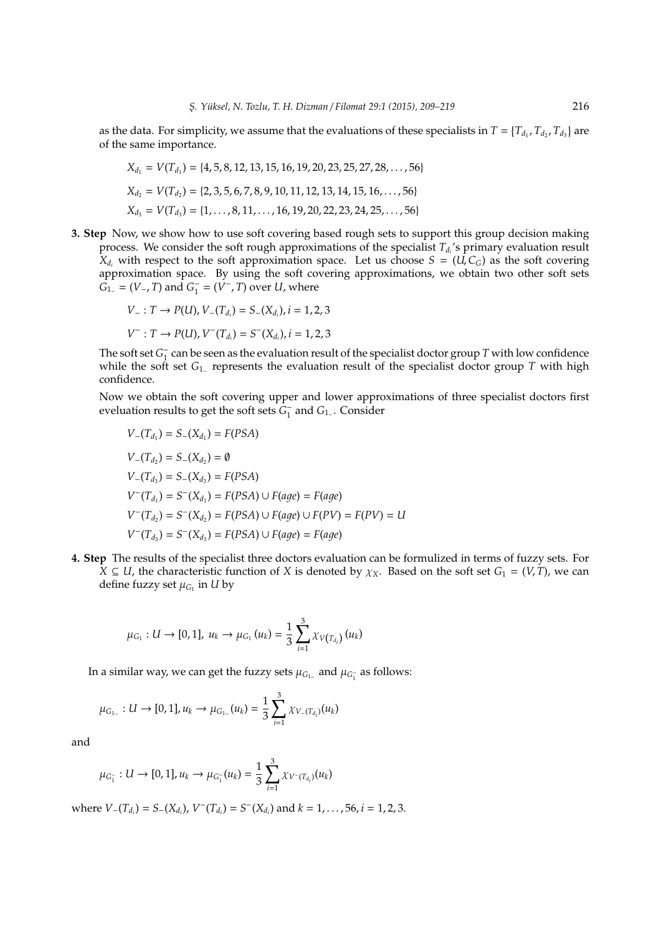as the data. For simplicity, we assume that the evaluations of these specialists in  $T = \{T_{d_1}, T_{d_2}, T_{d_3}\}$  are of the same importance.

$$
X_{d_1} = V(T_{d_1}) = \{4, 5, 8, 12, 13, 15, 16, 19, 20, 23, 25, 27, 28, ..., 56\}
$$
  
\n
$$
X_{d_2} = V(T_{d_2}) = \{2, 3, 5, 6, 7, 8, 9, 10, 11, 12, 13, 14, 15, 16, ..., 56\}
$$
  
\n
$$
X_{d_3} = V(T_{d_3}) = \{1, ..., 8, 11, ..., 16, 19, 20, 22, 23, 24, 25, ..., 56\}
$$

**3. Step** Now, we show how to use soft covering based rough sets to support this group decision making process. We consider the soft rough approximations of the specialist *T<sup>d</sup><sup>i</sup>* 's primary evaluation result  $X_{d_i}$  with respect to the soft approximation space. Let us choose  $S = (U, C_G)$  as the soft covering approximation space. By using the soft covering approximations, we obtain two other soft sets  $G_1 = (V_-, T)$  and  $G_1^ \overline{V}_1^{\text{-}} = (\overline{V}^{\text{-}}, T)$  over *U*, where

$$
V_{-}: T \rightarrow P(U), V_{-}(T_{d_i}) = S_{-}(X_{d_i}), i = 1, 2, 3
$$
  

$$
V^{-}: T \rightarrow P(U), V^{-}(T_{d_i}) = S^{-}(X_{d_i}), i = 1, 2, 3
$$

The soft set  $G_1^ \frac{1}{1}$  can be seen as the evaluation result of the specialist doctor group *T* with low confidence while the soft set *G*<sup>1</sup><sup>−</sup> represents the evaluation result of the specialist doctor group *T* with high confidence.

Now we obtain the soft covering upper and lower approximations of three specialist doctors first eveluation results to get the soft sets *G* − 1 and *G*1<sup>−</sup> . Consider

$$
V_{-}(T_{d_1}) = S_{-}(X_{d_1}) = F(PSA)
$$
  
\n
$$
V_{-}(T_{d_2}) = S_{-}(X_{d_2}) = \emptyset
$$
  
\n
$$
V_{-}(T_{d_3}) = S_{-}(X_{d_3}) = F(PSA)
$$
  
\n
$$
V^{-}(T_{d_1}) = S^{-}(X_{d_1}) = F(PSA) \cup F(age) = F(age)
$$
  
\n
$$
V^{-}(T_{d_2}) = S^{-}(X_{d_2}) = F(PSA) \cup F(age) \cup F(PV) = F(PV) = U
$$
  
\n
$$
V^{-}(T_{d_3}) = S^{-}(X_{d_3}) = F(PSA) \cup F(age) = F(age)
$$

**4. Step** The results of the specialist three doctors evaluation can be formulized in terms of fuzzy sets. For *X* ⊆ *U*, the characteristic function of *X* is denoted by  $\chi$ <sub>X</sub>. Based on the soft set *G*<sub>1</sub> = (*V*, *T*), we can define fuzzy set  $\mu_{G_1}$  in  $U$  by

$$
\mu_{G_1}: U \to [0,1], \; u_k \to \mu_{G_1}\left(u_k\right) = \frac{1}{3} \sum_{i=1}^3 \chi_{V\left(T_{d_i}\right)}\left(u_k\right)
$$

In a similar way, we can get the fuzzy sets  $\mu_{G_1_{}}$  and  $\mu_{G_1^+}$  as follows:

$$
\mu_{G_{1-}}:U\to [0,1], u_k\to \mu_{G_{1-}}(u_k)=\frac{1}{3}\sum_{i=1}^3 \chi_{V_{-}(T_{d_i})}(u_k)
$$

and

$$
\mu_{G_1^-}: U \to [0,1], u_k \to \mu_{G_1^-}(u_k) = \frac{1}{3} \sum_{i=1}^3 \chi_{V^-(T_{d_i})}(u_k)
$$

where  $V_{-}(T_{d_i}) = S_{-}(X_{d_i})$ ,  $V^{-}(T_{d_i}) = S^{-}(X_{d_i})$  and  $k = 1, ..., 56$ ,  $i = 1, 2, 3$ .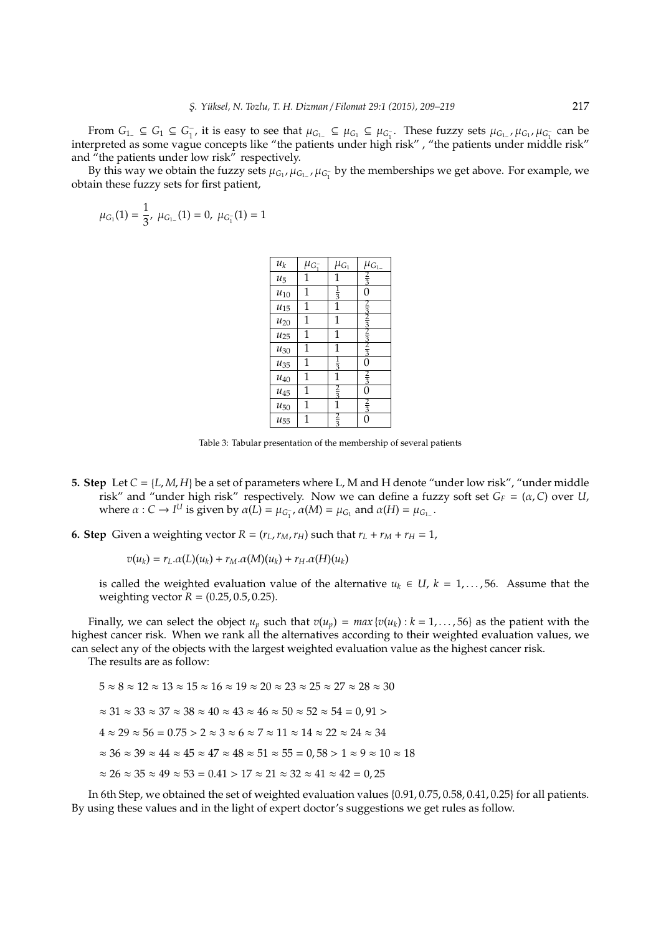From  $G_1$  ⊆  $G_1$  ⊆  $G_1$ <sup>-</sup> <sup>1</sup>, it is easy to see that  $\mu_{G_1}$  ⊆  $\mu_{G_1}$  ⊆  $\mu_{G_1}$ . These fuzzy sets  $\mu_{G_1}$ ,  $\mu_{G_1}$ ,  $\mu_{G_1}$  can be 1 1 interpreted as some vague concepts like "the patients under high risk" , "the patients under middle risk" and "the patients under low risk" respectively.

By this way we obtain the fuzzy sets  $\mu_{G_1}, \mu_{G_1}$ ,  $\mu_{G_1}$  by the memberships we get above. For example, we obtain these fuzzy sets for first patient,

$$
\mu_{G_1}(1)=\frac{1}{3},\ \mu_{G_{1-}}(1)=0,\ \mu_{G_1^-}(1)=1
$$

| $\boldsymbol{u}_k$ | $\mu_{G_1^-}$ | $\mu_{G_1}$   | $\mu_{G_{1-}}$ |
|--------------------|---------------|---------------|----------------|
| $u_5$              | $\mathbf 1$   | 1             | $\frac{2}{3}$  |
| $u_{10}$           | 1             | $\frac{1}{3}$ | 0              |
| $u_{15}$           | 1             | 1             |                |
| $u_{20}$           | 1             | $\mathbf 1$   |                |
| $u_{25}$           | 1             | $\mathbf 1$   | $\frac{3}{2}$  |
| $u_{30}$           | 1             | 1             | $rac{3}{3}$    |
| $u_{35}$           | 1             | $\frac{1}{3}$ | 0              |
| $u_{40}$           | 1             | 1             | $rac{2}{3}$    |
| $u_{45}$           | 1             | $rac{2}{3}$   | 0              |
| $u_{50}$           | 1             | 1             | $\frac{2}{3}$  |
| $u_{55}$           | 1             | $\frac{2}{3}$ | 0              |

Table 3: Tabular presentation of the membership of several patients

- **5. Step** Let *C* = {*L*, *M*, *H*} be a set of parameters where L, M and H denote "under low risk", "under middle risk" and "under high risk" respectively. Now we can define a fuzzy soft set  $G_F = (\alpha, C)$  over *U*, where  $\alpha$  : *C* → *I<sup>U</sup>* is given by  $\alpha(L) = \mu_{G_1}$ ,  $\alpha(M) = \mu_{G_1}$  and  $\alpha(H) = \mu_{G_1}$ .
- **6. Step** Given a weighting vector  $R = (r_L, r_M, r_H)$  such that  $r_L + r_M + r_H = 1$ ,

$$
v(u_k) = r_L \alpha(L)(u_k) + r_M \alpha(M)(u_k) + r_H \alpha(H)(u_k)
$$

is called the weighted evaluation value of the alternative  $u_k \in U$ ,  $k = 1, \ldots, 56$ . Assume that the weighting vector  $R = (0.25, 0.5, 0.25)$ .

Finally, we can select the object  $u_p$  such that  $v(u_p) = max\{v(u_k) : k = 1, ..., 56\}$  as the patient with the highest cancer risk. When we rank all the alternatives according to their weighted evaluation values, we can select any of the objects with the largest weighted evaluation value as the highest cancer risk.

The results are as follow:

 $5 \approx 8 \approx 12 \approx 13 \approx 15 \approx 16 \approx 19 \approx 20 \approx 23 \approx 25 \approx 27 \approx 28 \approx 30$  $\approx 31 \approx 33 \approx 37 \approx 38 \approx 40 \approx 43 \approx 46 \approx 50 \approx 52 \approx 54 = 0.91 >$  $4 \approx 29 \approx 56 = 0.75 > 2 \approx 3 \approx 6 \approx 7 \approx 11 \approx 14 \approx 22 \approx 24 \approx 34$  $\approx 36 \approx 39 \approx 44 \approx 45 \approx 47 \approx 48 \approx 51 \approx 55 = 0.58 > 1 \approx 9 \approx 10 \approx 18$  $\approx$  26  $\approx$  35  $\approx$  49  $\approx$  53 = 0.41  $>$  17  $\approx$  21  $\approx$  32  $\approx$  41  $\approx$  42 = 0.25

In 6th Step, we obtained the set of weighted evaluation values {0.91, 0.75, 0.58, 0.41, 0.25} for all patients. By using these values and in the light of expert doctor's suggestions we get rules as follow.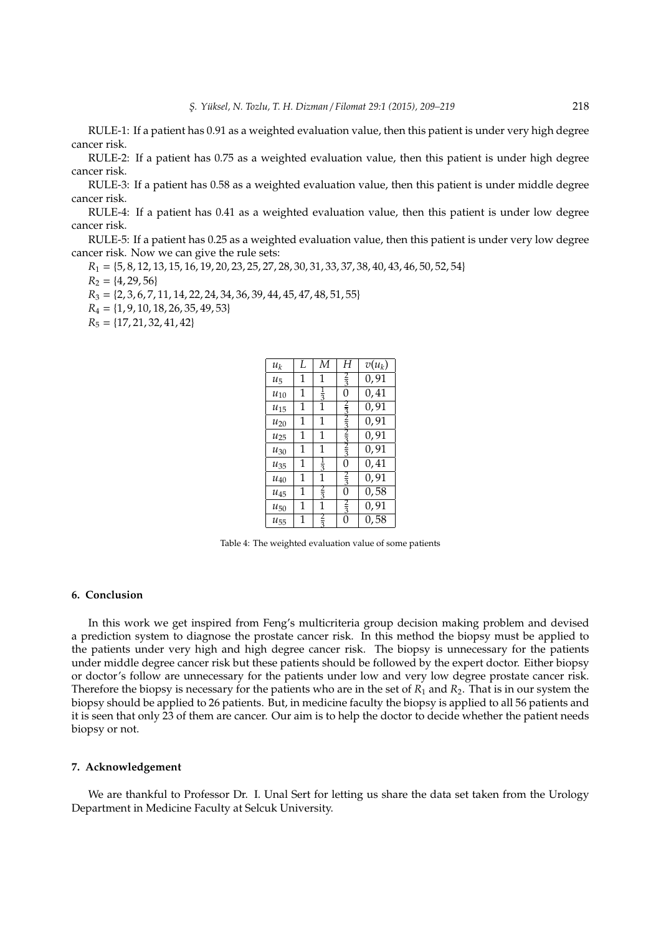RULE-1: If a patient has 0.91 as a weighted evaluation value, then this patient is under very high degree cancer risk.

RULE-2: If a patient has 0.75 as a weighted evaluation value, then this patient is under high degree cancer risk.

RULE-3: If a patient has 0.58 as a weighted evaluation value, then this patient is under middle degree cancer risk.

RULE-4: If a patient has 0.41 as a weighted evaluation value, then this patient is under low degree cancer risk.

RULE-5: If a patient has 0.25 as a weighted evaluation value, then this patient is under very low degree cancer risk. Now we can give the rule sets:

*R*<sup>1</sup> = {5, 8, 12, 13, 15, 16, 19, 20, 23, 25, 27, 28, 30, 31, 33, 37, 38, 40, 43, 46, 50, 52, 54}

 $R_2 = \{4, 29, 56\}$ 

*R*<sup>3</sup> = {2, 3, 6, 7, 11, 14, 22, 24, 34, 36, 39, 44, 45, 47, 48, 51, 55}

*R*<sup>4</sup> = {1, 9, 10, 18, 26, 35, 49, 53}

*R*<sup>5</sup> = {17, 21, 32, 41, 42}

| $u_k$    | L | М             | Н             | $v(u_k)$ |
|----------|---|---------------|---------------|----------|
| $u_{5}$  | 1 | 1             |               | 0,91     |
| $u_{10}$ | 1 | $\frac{1}{3}$ | 0             | 0,41     |
| $u_{15}$ | 1 | 1             |               | 0, 91    |
| $u_{20}$ | 1 | 1             |               | 0,91     |
| $u_{25}$ | 1 | 1             |               | 0, 91    |
| $u_{30}$ | 1 | 1             |               | 0, 91    |
| $u_{35}$ | 1 | $\frac{1}{3}$ | 0             | 0,41     |
| $u_{40}$ | 1 | 1             | $\frac{2}{3}$ | 0,91     |
| $u_{45}$ | 1 | $\frac{2}{3}$ | 0             | 0,58     |
| $u_{50}$ | 1 | 1             | ₹             | 0,91     |
| $u_{55}$ | 1 |               | 0             | 0,58     |
|          |   |               |               |          |

Table 4: The weighted evaluation value of some patients

#### **6. Conclusion**

In this work we get inspired from Feng's multicriteria group decision making problem and devised a prediction system to diagnose the prostate cancer risk. In this method the biopsy must be applied to the patients under very high and high degree cancer risk. The biopsy is unnecessary for the patients under middle degree cancer risk but these patients should be followed by the expert doctor. Either biopsy or doctor's follow are unnecessary for the patients under low and very low degree prostate cancer risk. Therefore the biopsy is necessary for the patients who are in the set of  $R_1$  and  $R_2$ . That is in our system the biopsy should be applied to 26 patients. But, in medicine faculty the biopsy is applied to all 56 patients and it is seen that only 23 of them are cancer. Our aim is to help the doctor to decide whether the patient needs biopsy or not.

#### **7. Acknowledgement**

We are thankful to Professor Dr. I. Unal Sert for letting us share the data set taken from the Urology Department in Medicine Faculty at Selcuk University.